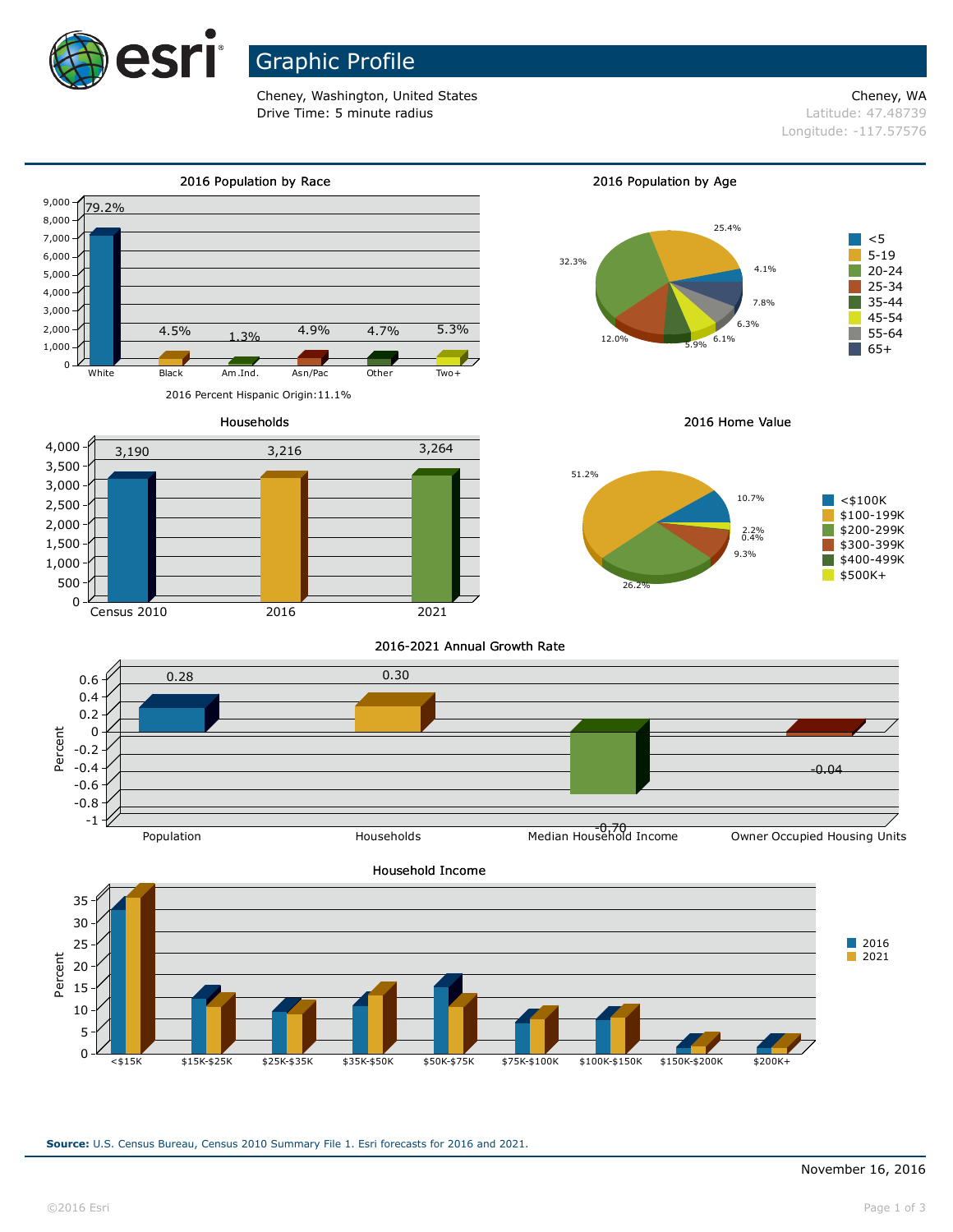

# Graphic Profile

Cheney, Washington, United States Cheney, WA **Drive Time: 5 minute radius Contract Contract Contract Contract Contract Contract Contract Contract Contract Contract Contract Contract Contract Contract Contract Contract Contract Contract Contract Contract Contract Co** 

Longitude: -117.57576



**Source:** U.S. Census Bureau, Census 2010 Summary File 1. Esri forecasts for 2016 and 2021.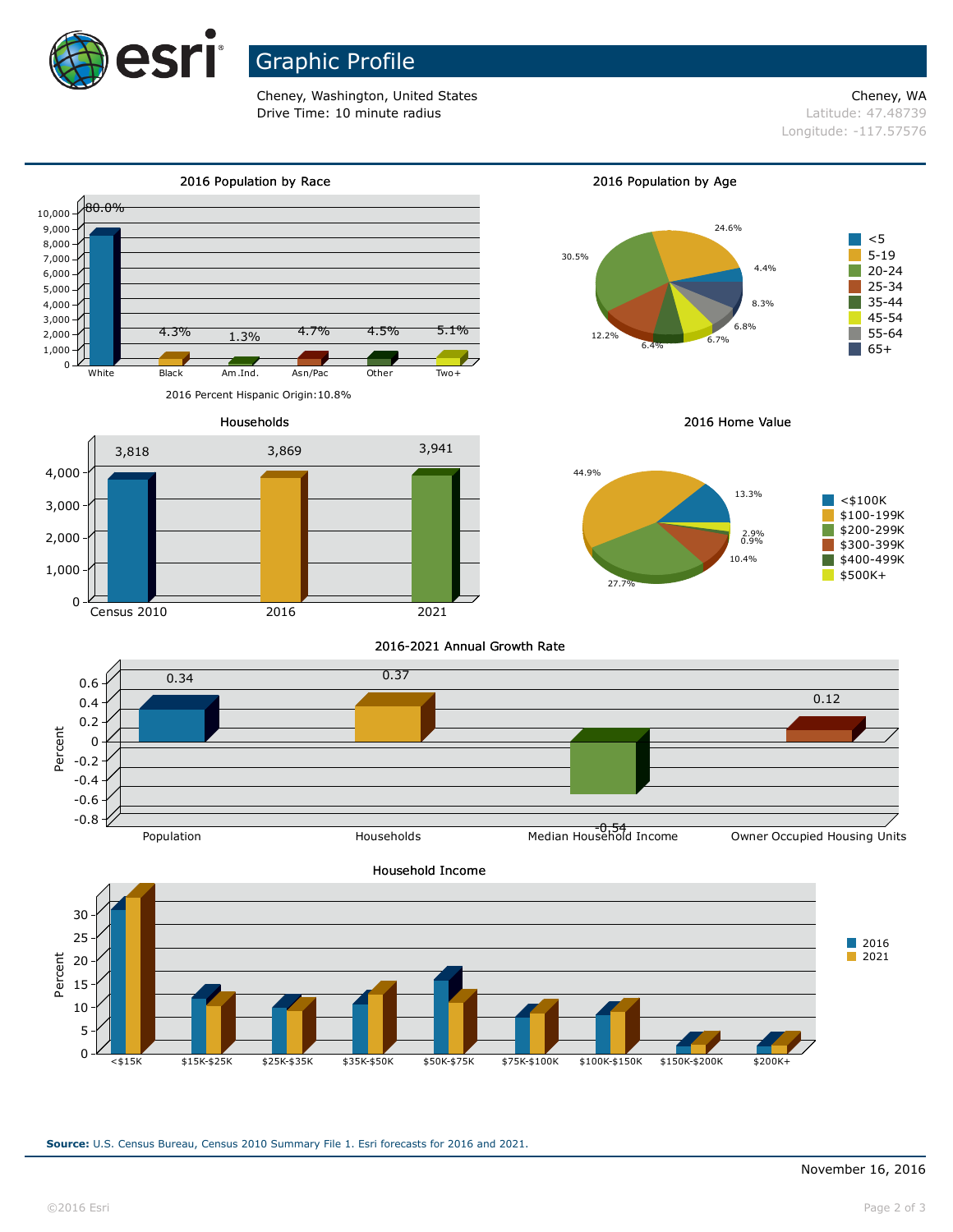

# Graphic Profile

Cheney, Washington, United States Cheney, WA **Drive Time: 10 minute radius Latitude: 47.48739** 

Longitude: -117.57576



**Source:** U.S. Census Bureau, Census 2010 Summary File 1. Esri forecasts for 2016 and 2021.